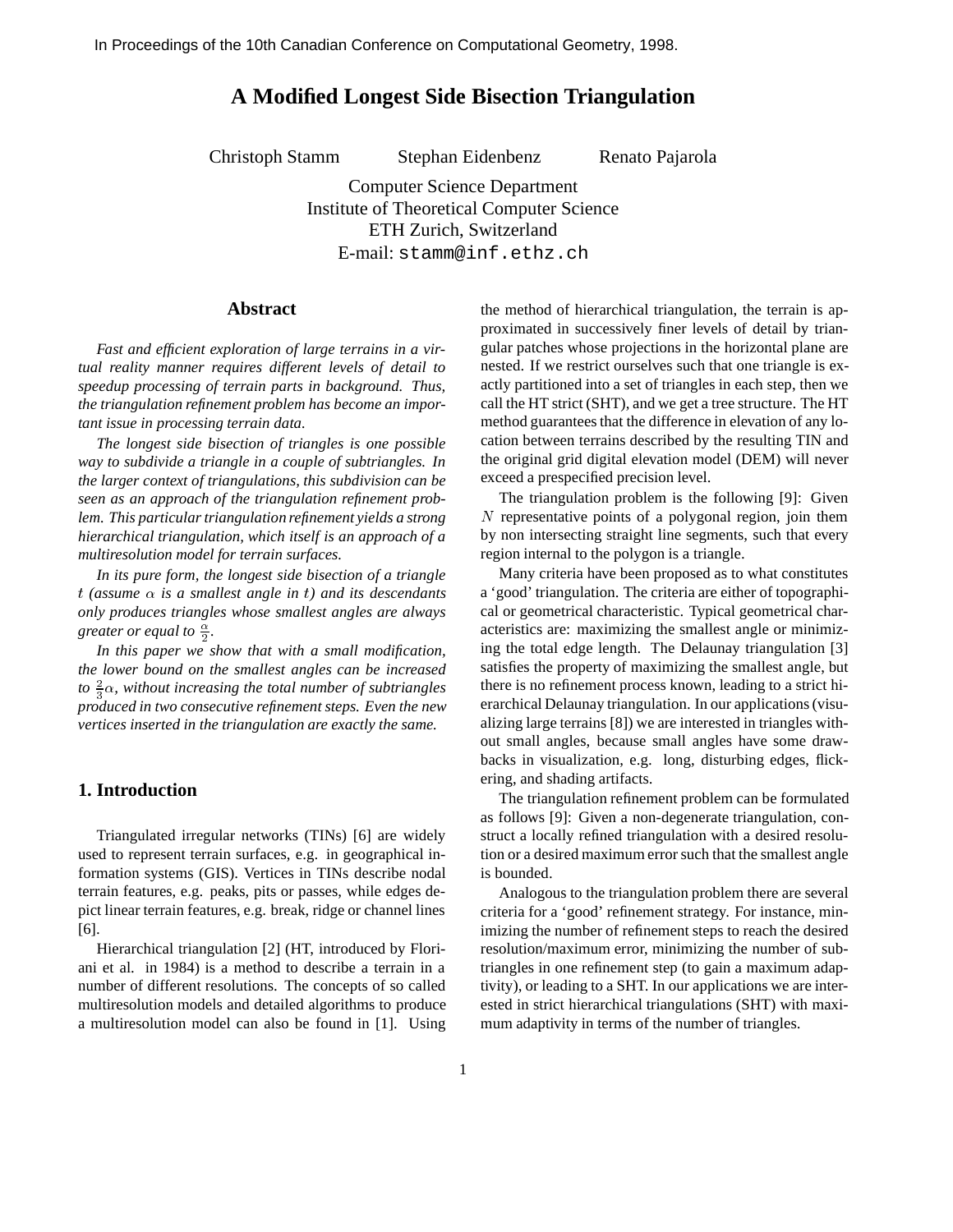# **A Modified Longest Side Bisection Triangulation**

Christoph Stamm Stephan Eidenbenz Renato Pajarola

Computer Science Department Institute of Theoretical Computer Science ETH Zurich, Switzerland E-mail: stamm@inf.ethz.ch

### **Abstract**

*Fast and efficient exploration of large terrains in a virtual reality manner requires different levels of detail to speedup processing of terrain parts in background. Thus, the triangulation refinement problem has become an important issue in processing terrain data.*

*The longest side bisection of triangles is one possible way to subdivide a triangle in a couple of subtriangles. In the larger context of triangulations, this subdivision can be seen as an approach of the triangulation refinement problem. This particular triangulation refinement yields a strong hierarchical triangulation, which itself is an approach of a multiresolution model for terrain surfaces.*

*In its pure form, the longest side bisection of a triangle*  $t$  (assume  $\alpha$  is a smallest angle in t) and its descendants *only produces triangles whose smallest angles are always greater or equal to*  $\frac{\alpha}{2}$ *.* 

22 Januari - Januari - Januari - Januari - Januari - Januari - Januari - Januari - Januari - Januari - Januari

*In this paper we show that with a small modification, the lower bound on the smallest angles can be increased* to  $\frac{2}{3}\alpha$ , without increasing the total number of subtriangles *produced in two consecutive refinement steps. Even the new vertices inserted in the triangulation are exactly the same.*

#### **1. Introduction**

Triangulated irregular networks (TINs) [6] are widely used to represent terrain surfaces, e.g. in geographical information systems (GIS). Vertices in TINs describe nodal terrain features, e.g. peaks, pits or passes, while edges depict linear terrain features, e.g. break, ridge or channel lines [6].

Hierarchical triangulation [2] (HT, introduced by Floriani et al. in 1984) is a method to describe a terrain in a number of different resolutions. The concepts of so called multiresolution models and detailed algorithms to produce a multiresolution model can also be found in [1]. Using the method of hierarchical triangulation, the terrain is approximated in successively finer levels of detail by triangular patches whose projections in the horizontal plane are nested. If we restrict ourselves such that one triangle is exactly partitioned into a set of triangles in each step, then we call the HT strict (SHT), and we get a tree structure. The HT method guarantees that the difference in elevation of any location between terrains described by the resulting TIN and the original grid digital elevation model (DEM) will never exceed a prespecified precision level.

The triangulation problem is the following [9]: Given N representative points of a polygonal region, join them by non intersecting straight line segments, such that every region internal to the polygon is a triangle.

Many criteria have been proposed as to what constitutes a 'good' triangulation. The criteria are either of topographical or geometrical characteristic. Typical geometrical characteristics are: maximizing the smallest angle or minimizing the total edge length. The Delaunay triangulation [3] satisfies the property of maximizing the smallest angle, but there is no refinement process known, leading to a strict hierarchical Delaunay triangulation. In our applications (visualizing large terrains [8]) we are interested in triangles without small angles, because small angles have some drawbacks in visualization, e.g. long, disturbing edges, flickering, and shading artifacts.

The triangulation refinement problem can be formulated as follows [9]: Given a non-degenerate triangulation, construct a locally refined triangulation with a desired resolution or a desired maximum error such that the smallest angle is bounded.

Analogous to the triangulation problem there are several criteria for a 'good' refinement strategy. For instance, minimizing the number of refinement steps to reach the desired resolution/maximum error, minimizing the number of subtriangles in one refinement step (to gain a maximum adaptivity), or leading to a SHT. In our applications we are interested in strict hierarchical triangulations (SHT) with maximum adaptivity in terms of the number of triangles.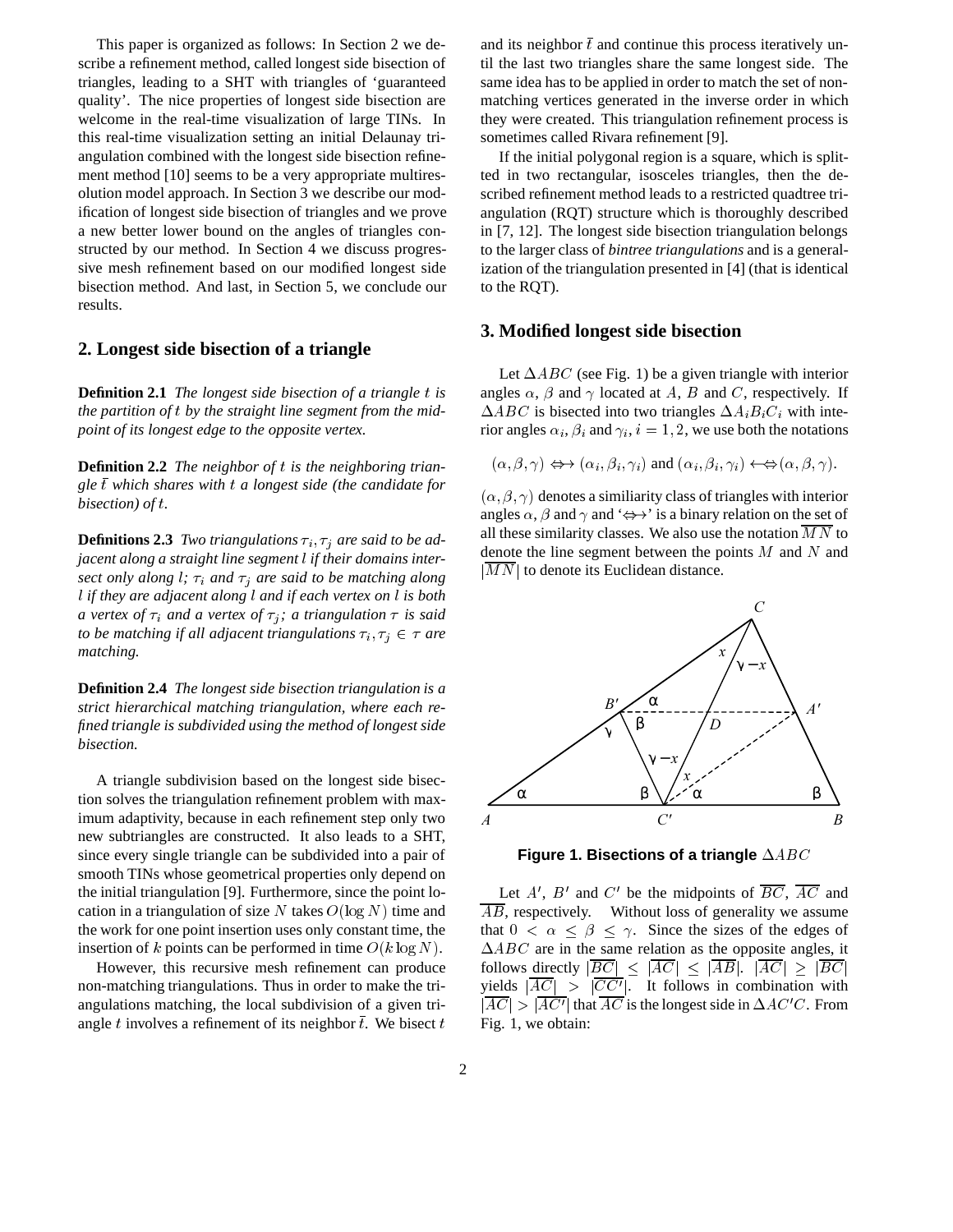This paper is organized as follows: In Section 2 we describe a refinement method, called longest side bisection of triangles, leading to a SHT with triangles of 'guaranteed quality'. The nice properties of longest side bisection are welcome in the real-time visualization of large TINs. In this real-time visualization setting an initial Delaunay triangulation combined with the longest side bisection refinement method [10] seems to be a very appropriate multiresolution model approach. In Section 3 we describe our modification of longest side bisection of triangles and we prove a new better lower bound on the angles of triangles constructed by our method. In Section 4 we discuss progressive mesh refinement based on our modified longest side bisection method. And last, in Section 5, we conclude our results.

## **2. Longest side bisection of a triangle**

**Definition 2.1** *The longest side bisection of a triangle* t *is the partition of* <sup>t</sup> *by the straight line segment from the midpoint of its longest edge to the opposite vertex.*

**Definition 2.2** *The neighbor of* t *is the neighboring triangle*  $\bar{t}$  *which shares with*  $t$  *a longest side (the candidate for bisection) of* t*.*

**Definitions 2.3** *Two triangulations*  $\tau_i$ ,  $\tau_j$  *are said to be adjacent along a straight line segment* l *if their domains intersect only along l;*  $\tau_i$  *and*  $\tau_j$  *are said to be matching along* l *if they are adjacent along* l *and if each vertex on* l *is both a vertex of*  $\tau_i$  *and a vertex of*  $\tau_j$ ; *a triangulation*  $\tau$  *is said to be matching if all adjacent triangulations*  $\tau_i$ ,  $\tau_j \in \tau$  are *matching.*

**Definition 2.4** *The longest side bisection triangulation is a strict hierarchical matching triangulation, where each refined triangle is subdivided using the method of longest side bisection.*

A triangle subdivision based on the longest side bisection solves the triangulation refinement problem with maximum adaptivity, because in each refinement step only two new subtriangles are constructed. It also leads to a SHT, since every single triangle can be subdivided into a pair of smooth TINs whose geometrical properties only depend on the initial triangulation [9]. Furthermore, since the point location in a triangulation of size N takes  $O(log N)$  time and the work for one point insertion uses only constant time, the insertion of k points can be performed in time  $O(k \log N)$ .

However, this recursive mesh refinement can produce non-matching triangulations. Thus in order to make the triangulations matching, the local subdivision of a given triangle t involves a refinement of its neighbor  $\bar{t}$ . We bisect t

and its neighbor  $\bar{t}$  and continue this process iteratively until the last two triangles share the same longest side. The same idea has to be applied in order to match the set of nonmatching vertices generated in the inverse order in which they were created. This triangulation refinement process is sometimes called Rivara refinement [9].

If the initial polygonal region is a square, which is splitted in two rectangular, isosceles triangles, then the described refinement method leads to a restricted quadtree triangulation (RQT) structure which is thoroughly described in [7, 12]. The longest side bisection triangulation belongs to the larger class of *bintree triangulations* and is a generalization of the triangulation presented in [4] (that is identical to the RQT).

#### **3. Modified longest side bisection**

Let  $\triangle ABC$  (see Fig. 1) be a given triangle with interior angles  $\alpha$ ,  $\beta$  and  $\gamma$  located at A, B and C, respectively. If  $\Delta ABC$  is bisected into two triangles  $\Delta A_i B_i C_i$  with interior angles  $\alpha_i$ ,  $\beta_i$  and  $\gamma_i$ ,  $i = 1, 2$ , we use both the notations

$$
(\alpha, \beta, \gamma) \Leftrightarrow (\alpha_i, \beta_i, \gamma_i)
$$
 and  $(\alpha_i, \beta_i, \gamma_i) \Leftrightarrow (\alpha, \beta, \gamma)$ .

 $(\alpha, \beta, \gamma)$  denotes a similiarity class of triangles with interior angles  $\alpha$ ,  $\beta$  and  $\gamma$  and ' $\leftrightarrow$ ' is a binary relation on the set of all these similarity classes. We also use the notation  $MN$  to denote the line segment between the points  $M$  and  $N$  and  $|M N|$  to denote its Euclidean distance.



Figure 1. Bisections of a triangle  $\triangle ABC$ 

Let  $A'$ ,  $B'$  and  $C'$  be the midpoints of  $BC$ ,  $AC$  and  $\overline{AB}$ , respectively. Without loss of generality we assume that  $0 < \alpha \leq \beta \leq \gamma$ . Since the sizes of the edges of  $\triangle ABC$  are in the same relation as the opposite angles, it follows directly  $|\overline{BC}| \leq |\overline{AC}| \leq |\overline{AB}|$ .  $|\overline{AC}| \geq |\overline{BC}|$ yields  $|\overline{AC}| > |\overline{CC'}|$ . It follows in combination with  $|AC| > |AC'|$  that AC is the longest side in  $\Delta AC'C$ . From Fig. 1, we obtain: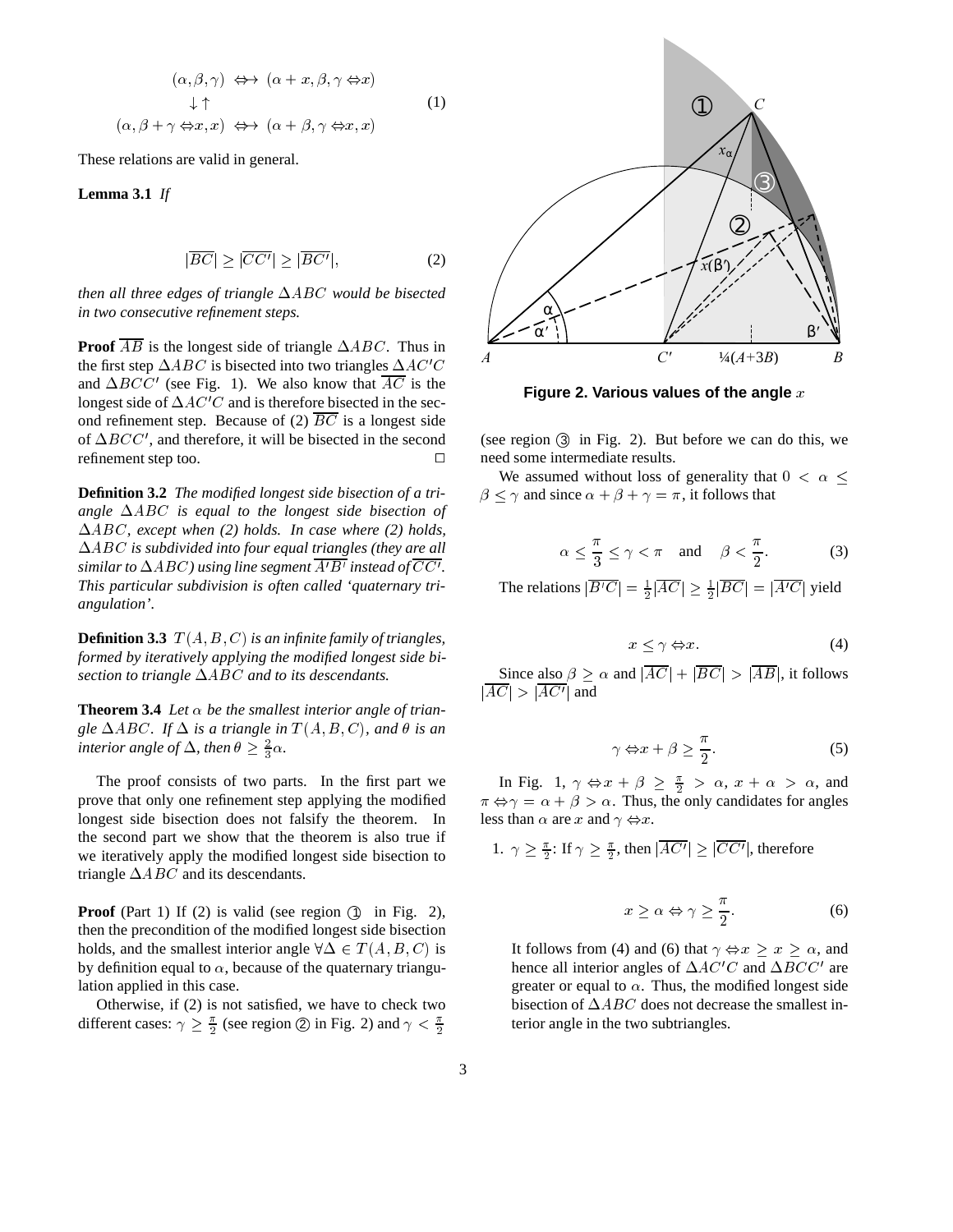$$
(\alpha, \beta, \gamma) \iff (\alpha + x, \beta, \gamma \Leftrightarrow x)
$$
  
\n
$$
\downarrow \uparrow
$$
  
\n
$$
(\alpha, \beta + \gamma \Leftrightarrow x, x) \iff (\alpha + \beta, \gamma \Leftrightarrow x, x)
$$
  
\n(1)

These relations are valid in general.

**Lemma 3.1** *If*

$$
|\overline{BC}| \ge |\overline{CC'}| \ge |\overline{BC'}|,\tag{2}
$$

*then all three edges of triangle*  $\Delta ABC$  *would be bisected in two consecutive refinement steps.*

**Proof**  $\overline{AB}$  is the longest side of triangle  $\triangle ABC$ . Thus in the first step  $\triangle ABC$  is bisected into two triangles  $\triangle AC'C$ and  $\Delta BCC'$  (see Fig. 1). We also know that AC is the longest side of  $\Delta A C'C$  and is therefore bisected in the second refinement step. Because of (2)  $\overline{BC}$  is a longest side of  $\Delta BCC'$ , and therefore, it will be bisected in the second refinement step too.

**Definition 3.2** *The modified longest side bisection of a tri*angle  $\triangle ABC$  *is equal to the longest side bisection of* ABC*, except when (2) holds. In case where (2) holds,* ABC *is subdivided into four equal triangles (they are all* similar to  $\Delta ABC$  ) using line segment  $\overline{A'B'}$  instead of  $\overline{CC'}$  . *This particular subdivision is often called 'quaternary triangulation'.*

**Definition 3.3**  $T(A, B, C)$  *is an infinite family of triangles, formed by iteratively applying the modified longest side bisection to triangle*  $\Delta ABC$  *and to its descendants.* 

**Theorem 3.4** Let  $\alpha$  be the smallest interior angle of trian*gle*  $\triangle ABC$ *. If*  $\triangle$  *is a triangle in*  $T(A, B, C)$ *, and*  $\theta$  *is an interior angle of*  $\Delta$ , then  $\theta \geq \frac{2}{3}\alpha$ .

The proof consists of two parts. In the first part we prove that only one refinement step applying the modified longest side bisection does not falsify the theorem. In the second part we show that the theorem is also true if we iteratively apply the modified longest side bisection to triangle  $\triangle ABC$  and its descendants.

**Proof** (Part 1) If (2) is valid (see region  $(1)$  in Fig. 2), then the precondition of the modified longest side bisection holds, and the smallest interior angle  $\forall \Delta \in T(A, B, C)$  is by definition equal to  $\alpha$ , because of the quaternary triangulation applied in this case.

Otherwise, if (2) is not satisfied, we have to check two different cases:  $\gamma \geq \frac{\pi}{2}$  (see region 2) in Fig. 2) and  $\gamma < \frac{\pi}{2}$  to



**Figure 2. Various values of the angle** x

(see region 3 in Fig. 2). But before we can do this, we need some intermediate results.

We assumed without loss of generality that  $0 < \alpha \leq$  $\beta \leq \gamma$  and since  $\alpha + \beta + \gamma = \pi$ , it follows that

$$
\alpha \le \frac{\pi}{3} \le \gamma < \pi \quad \text{and} \quad \beta < \frac{\pi}{2}.\tag{3}
$$

The relations  $|\overline{B'C}| = \frac{1}{2} |\overline{AC}| \geq \frac{1}{2} |\overline{BC}| = |\overline{A'C}|$  yield

$$
x \le \gamma \Leftrightarrow x. \tag{4}
$$

Since also  $\beta \ge \alpha$  and  $|\overline{AC}| + |\overline{BC}| > |\overline{AB}|$ , it follows  $|\overline{AC}| > |\overline{AC'}|$  and

$$
\gamma \Leftrightarrow x + \beta \ge \frac{\pi}{2}.\tag{5}
$$

In Fig. 1,  $\gamma \Leftrightarrow x + \beta \geq \frac{\pi}{2} > \alpha$ ,  $x + \alpha > \alpha$ , and  $\pi \Leftrightarrow \gamma = \alpha + \beta > \alpha$ . Thus, the only candidates for angles less than  $\alpha$  are x and  $\gamma \Leftrightarrow x$ .

1. 
$$
\gamma \ge \frac{\pi}{2}
$$
: If  $\gamma \ge \frac{\pi}{2}$ , then  $|\overline{AC'}| \ge |\overline{CC'}|$ , therefore

$$
x \ge \alpha \Leftrightarrow \gamma \ge \frac{\pi}{2}.\tag{6}
$$

It follows from (4) and (6) that  $\gamma \Leftrightarrow x \geq x \geq \alpha$ , and hence all interior angles of  $\Delta A C^{\prime} C$  and  $\Delta B C C^{\prime}$  are greater or equal to  $\alpha$ . Thus, the modified longest side bisection of  $\triangle ABC$  does not decrease the smallest interior angle in the two subtriangles.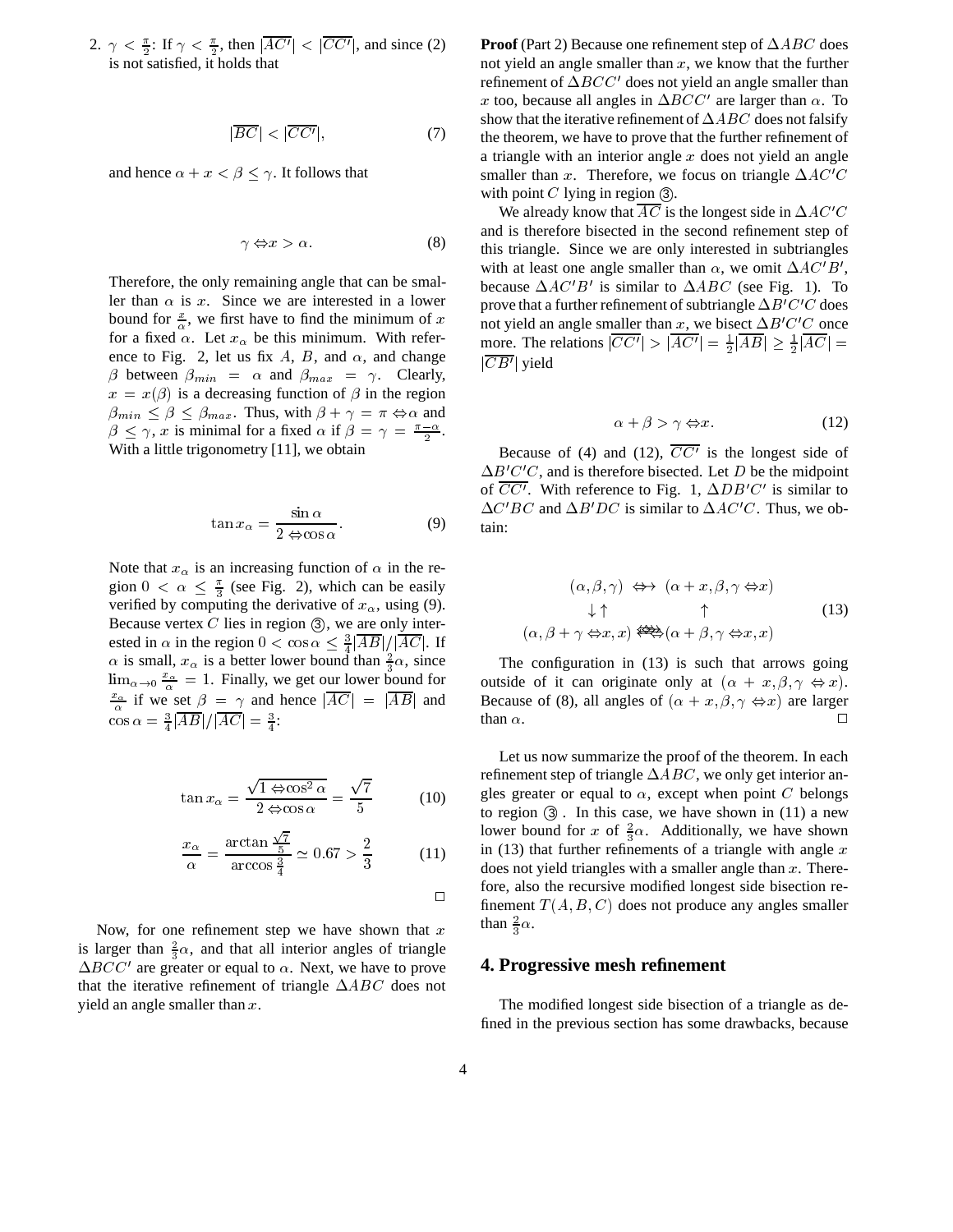2.  $\gamma < \frac{\pi}{2}$ : If  $\gamma < \frac{\pi}{2}$ , then  $|\overline{AC'}| < |\overline{CC'}|$ , and since (2) is not satisfied, it holds that

$$
|\overline{BC}| < |\overline{CC'}|,\tag{7}
$$

and hence  $\alpha + x < \beta < \gamma$ . It follows that

$$
\gamma \Leftrightarrow x > \alpha. \tag{8}
$$

Therefore, the only remaining angle that can be smaller than  $\alpha$  is x. Since we are interested in a lower bound for  $\frac{x}{\alpha}$ , we first have to find the minimum of x for a fixed  $\alpha$ . Let  $x_{\alpha}$  be this minimum. With reference to Fig. 2, let us fix A, B, and  $\alpha$ , and change  $\beta$  between  $\beta_{min} = \alpha$  and  $\beta_{max} = \gamma$ . Clearly,  $x = x(\beta)$  is a decreasing function of  $\beta$  in the region  $\beta_{min} \leq \beta \leq \beta_{max}$ . Thus, with  $\beta + \gamma = \pi \Leftrightarrow \alpha$  and  $\beta \leq \gamma$ , x is minimal for a fixed  $\alpha$  if  $\beta = \gamma = \frac{\pi - \alpha}{2}$ . With a little trigonometry [11], we obtain

$$
\tan x_{\alpha} = \frac{\sin \alpha}{2 \Leftrightarrow \cos \alpha}.
$$
 (9)

Note that  $x_{\alpha}$  is an increasing function of  $\alpha$  in the region  $0 < \alpha \leq \frac{\pi}{3}$  (see Fig. 2), which can be easily verified by computing the derivative of  $x_\alpha$ , using (9). Because vertex  $C$  lies in region  $(3)$ , we are only interested in  $\alpha$  in the region  $0 < \cos \alpha \leq \frac{3}{4} |AB|/|AC|$ . If <sup>4</sup>  $\alpha$  is small,  $x_{\alpha}$  is a better lower bound than  $\frac{2}{3}\alpha$ , since  $\lim_{\alpha\to 0} \frac{x_{\alpha}}{\alpha} = 1$ . Finally, we get our lower bound for  $\frac{x_{\alpha}}{\alpha}$  if we set  $\beta = \gamma$  and hence  $|\overline{AC}| = |\overline{AB}|$  and  $\cos \alpha = \frac{3}{4} |AB| / |AC| = \frac{3}{4}$ :

$$
\tan x_{\alpha} = \frac{\sqrt{1 \Leftrightarrow \cos^2 \alpha}}{2 \Leftrightarrow \cos \alpha} = \frac{\sqrt{7}}{5}
$$
 (10)

$$
\frac{x_{\alpha}}{\alpha} = \frac{\arctan\frac{\sqrt{7}}{5}}{\arccos\frac{3}{4}} \simeq 0.67 > \frac{2}{3}
$$
 (11)

 $\Box$ 

Now, for one refinement step we have shown that  $x$ is larger than  $\frac{2}{3}\alpha$ , and that all interior angles of triangle  $\Delta BCC'$  are greater or equal to  $\alpha$ . Next, we have to prove that the iterative refinement of triangle  $\Delta ABC$  does not yield an angle smaller than  $x$ .

**Proof** (Part 2) Because one refinement step of  $\triangle ABC$  does not yield an angle smaller than  $x$ , we know that the further refinement of  $\Delta BCC'$  does not yield an angle smaller than x too, because all angles in  $\Delta BCC'$  are larger than  $\alpha$ . To show that the iterative refinement of  $\Delta ABC$  does not falsify the theorem, we have to prove that the further refinement of a triangle with an interior angle x does not yield an angle smaller than x. Therefore, we focus on triangle  $\Delta AC'C$ with point  $C$  lying in region  $(3)$ .

We already know that  $\overline{AC}$  is the longest side in  $\Delta AC'C$ and is therefore bisected in the second refinement step of this triangle. Since we are only interested in subtriangles with at least one angle smaller than  $\alpha$ , we omit  $\Delta A C' B'$ , because  $\Delta AC'B'$  is similar to  $\Delta ABC$  (see Fig. 1). To prove that a further refinement of subtriangle  $\Delta B'C'C$  does not yield an angle smaller than x, we bisect  $\Delta B'C'C$  once more. The relations  $|\overline{CC'}| > |\overline{AC'}| = \frac{1}{2} |\overline{AB}| \ge \frac{1}{2} |\overline{AC}| =$  $|\overline{CB'}|$  yield

$$
\alpha + \beta > \gamma \Leftrightarrow x. \tag{12}
$$

Because of (4) and (12),  $CC<sup>t</sup>$  is the longest side of  $\Delta B'C'C$ , and is therefore bisected. Let D be the midpoint of  $\overline{CC'}$ . With reference to Fig. 1,  $\Delta DB'C'$  is similar to  $\Delta C^{\prime}BC$  and  $\Delta B^{\prime}DC$  is similar to  $\Delta AC^{\prime}C$ . Thus, we obtain:

$$
(\alpha, \beta, \gamma) \iff (\alpha + x, \beta, \gamma \Leftrightarrow x)
$$
  

$$
\downarrow \uparrow \qquad \uparrow \qquad (13)
$$
  

$$
(\alpha, \beta + \gamma \Leftrightarrow x, x) \Leftrightarrow (\alpha + \beta, \gamma \Leftrightarrow x, x)
$$

The configuration in (13) is such that arrows going outside of it can originate only at  $(\alpha + x, \beta, \gamma \Leftrightarrow x)$ . Because of (8), all angles of  $(\alpha + x, \beta, \gamma \Leftrightarrow x)$  are larger than  $\alpha$ .

finement  $T(A, B, C)$  does not produce any angles smaller Let us now summarize the proof of the theorem. In each refinement step of triangle  $\Delta ABC$ , we only get interior angles greater or equal to  $\alpha$ , except when point C belongs to region  $(3)$ . In this case, we have shown in  $(11)$  a new lower bound for x of  $\frac{2}{3}\alpha$ . Additionally, we have shown in (13) that further refinements of a triangle with angle  $x$ does not yield triangles with a smaller angle than  $x$ . Therefore, also the recursive modified longest side bisection rethan  $\frac{2}{3}\alpha$ .

#### **4. Progressive mesh refinement**

The modified longest side bisection of a triangle as defined in the previous section has some drawbacks, because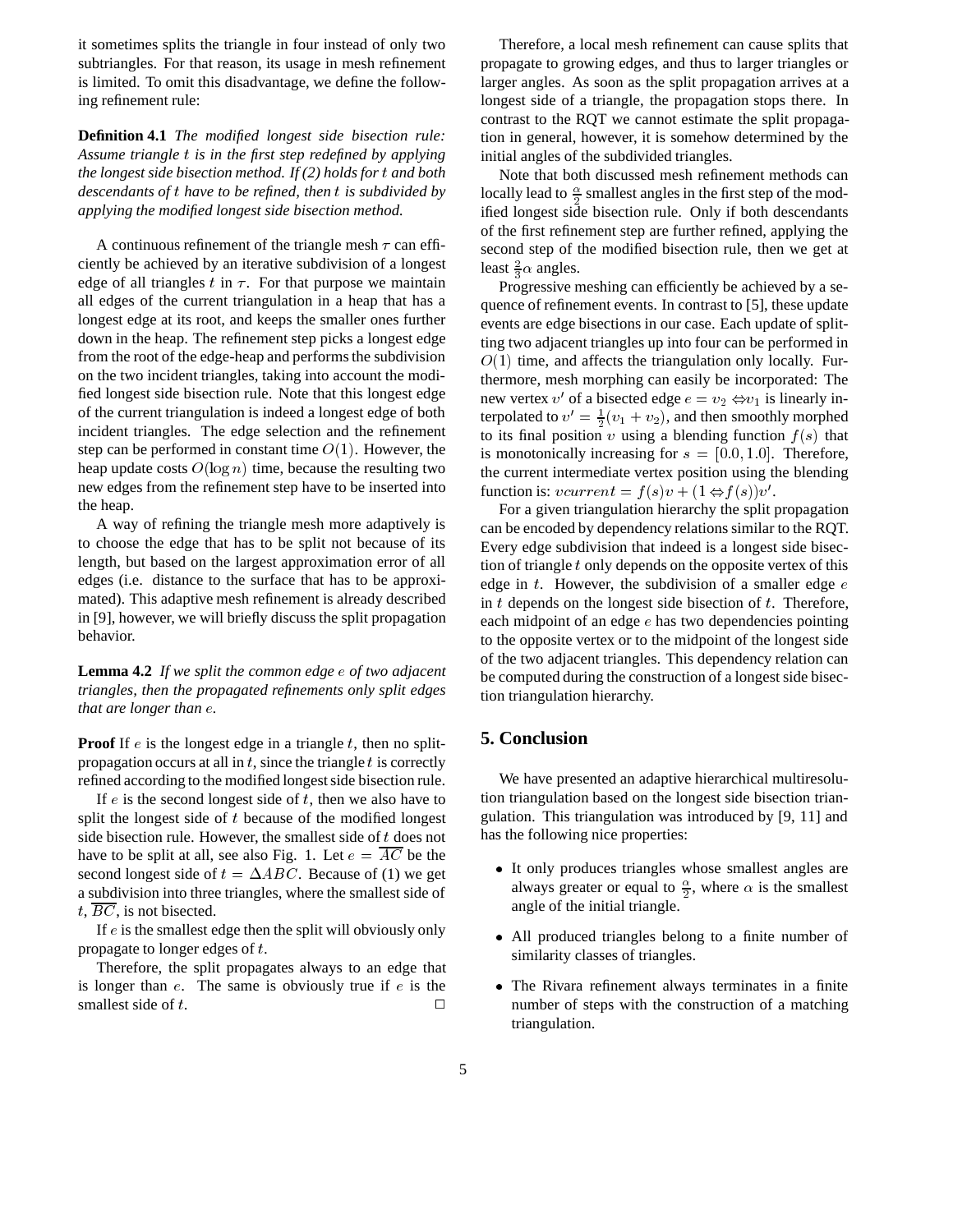it sometimes splits the triangle in four instead of only two subtriangles. For that reason, its usage in mesh refinement is limited. To omit this disadvantage, we define the following refinement rule:

**Definition 4.1** *The modified longest side bisection rule: Assume triangle* <sup>t</sup> *is in the first step redefined by applying the longest side bisection method. If (2) holds for* t *and both descendants of* <sup>t</sup> *have to be refined, then* <sup>t</sup> *is subdivided by applying the modified longest side bisection method.*

A continuous refinement of the triangle mesh  $\tau$  can efficiently be achieved by an iterative subdivision of a longest edge of all triangles t in  $\tau$ . For that purpose we maintain all edges of the current triangulation in a heap that has a longest edge at its root, and keeps the smaller ones further down in the heap. The refinement step picks a longest edge from the root of the edge-heap and performs the subdivision on the two incident triangles, taking into account the modified longest side bisection rule. Note that this longest edge of the current triangulation is indeed a longest edge of both incident triangles. The edge selection and the refinement step can be performed in constant time  $O(1)$ . However, the heap update costs  $O(\log n)$  time, because the resulting two new edges from the refinement step have to be inserted into the heap.

A way of refining the triangle mesh more adaptively is to choose the edge that has to be split not because of its length, but based on the largest approximation error of all edges (i.e. distance to the surface that has to be approximated). This adaptive mesh refinement is already described in [9], however, we will briefly discuss the split propagation behavior.

**Lemma 4.2** *If we split the common edge* e *of two adjacent triangles, then the propagated refinements only split edges that are longer than* e*.*

**Proof** If  $e$  is the longest edge in a triangle  $t$ , then no splitpropagation occurs at all in  $t$ , since the triangle  $t$  is correctly refined according to the modified longest side bisection rule.

If  $e$  is the second longest side of  $t$ , then we also have to split the longest side of t because of the modified longest side bisection rule. However, the smallest side of  $t$  does not have to be split at all, see also Fig. 1. Let  $e = \overline{AC}$  be the second longest side of  $t = \Delta ABC$ . Because of (1) we get a subdivision into three triangles, where the smallest side of  $t, BC$ , is not bisected.

If <sup>e</sup> is the smallest edge then the split will obviously only propagate to longer edges of t.

Therefore, the split propagates always to an edge that is longer than  $e$ . The same is obviously true if  $e$  is the smallest side of t.  $\Box$ 

Therefore, a local mesh refinement can cause splits that propagate to growing edges, and thus to larger triangles or larger angles. As soon as the split propagation arrives at a longest side of a triangle, the propagation stops there. In contrast to the RQT we cannot estimate the split propagation in general, however, it is somehow determined by the initial angles of the subdivided triangles.

Note that both discussed mesh refinement methods can locally lead to  $\frac{\alpha}{2}$  smallest angles in the first step of the modified longest side bisection rule. Only if both descendants of the first refinement step are further refined, applying the second step of the modified bisection rule, then we get at least  $\frac{2}{3}\alpha$  angles.

Progressive meshing can efficiently be achieved by a sequence of refinement events. In contrast to [5], these update events are edge bisections in our case. Each update of splitting two adjacent triangles up into four can be performed in  $O(1)$  time, and affects the triangulation only locally. Furthermore, mesh morphing can easily be incorporated: The new vertex  $v'$  of a bisected edge  $e = v_2 \Leftrightarrow v_1$  is linearly interpolated to  $v' = \frac{1}{2}(v_1 + v_2)$ , and then smoothly morphed to its final position v using a blending function  $f(s)$  that is monotonically increasing for  $s = [0.0, 1.0]$ . Therefore, the current intermediate vertex position using the blending function is:  $vcurrent = f(s)v + (1 \Leftrightarrow f(s))v'.$ 

For a given triangulation hierarchy the split propagation can be encoded by dependency relations similar to the RQT. Every edge subdivision that indeed is a longest side bisection of triangle <sup>t</sup> only depends on the opposite vertex of this edge in  $t$ . However, the subdivision of a smaller edge  $e$ in  $t$  depends on the longest side bisection of  $t$ . Therefore, each midpoint of an edge  $e$  has two dependencies pointing to the opposite vertex or to the midpoint of the longest side of the two adjacent triangles. This dependency relation can be computed during the construction of a longest side bisection triangulation hierarchy.

#### **5. Conclusion**

We have presented an adaptive hierarchical multiresolution triangulation based on the longest side bisection triangulation. This triangulation was introduced by [9, 11] and has the following nice properties:

- It only produces triangles whose smallest angles are always greater or equal to  $\frac{\alpha}{2}$ , where  $\alpha$  is the smallest 22 Januari - Januari - Januari - Januari - Januari - Januari - Januari - Januari - Januari - Januari - Januari angle of the initial triangle.
- All produced triangles belong to a finite number of similarity classes of triangles.
- The Rivara refinement always terminates in a finite number of steps with the construction of a matching triangulation.